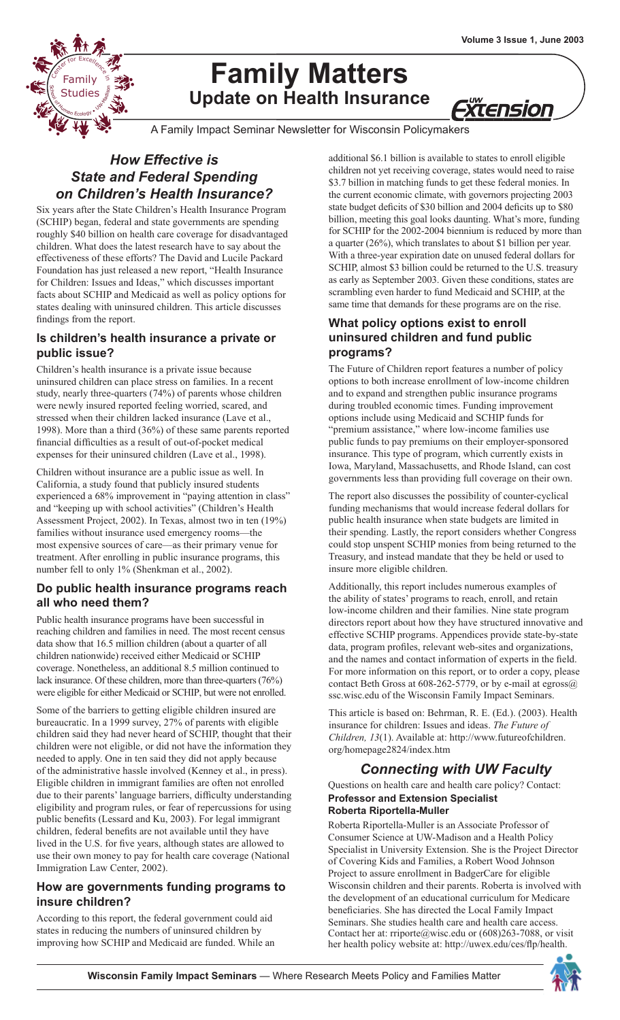# **Family Matters Update on Health Insurance**

Xtension

A Family Impact Seminar Newsletter for Wisconsin Policymakers

# *How Effective is State and Federal Spending on Children's Health Insurance?*

**Excellence** in the Family

w chool S $\mathbf{r}$ 

E<sub>S</sub> Studies

Six years after the State Children's Health Insurance Program (SCHIP) began, federal and state governments are spending roughly \$40 billion on health care coverage for disadvantaged children. What does the latest research have to say about the effectiveness of these efforts? The David and Lucile Packard Foundation has just released a new report, "Health Insurance for Children: Issues and Ideas," which discusses important facts about SCHIP and Medicaid as well as policy options for states dealing with uninsured children. This article discusses findings from the report.

# **Is children's health insurance a private or public issue?**

Children's health insurance is a private issue because uninsured children can place stress on families. In a recent study, nearly three-quarters (74%) of parents whose children were newly insured reported feeling worried, scared, and stressed when their children lacked insurance (Lave et al., 1998). More than a third (36%) of these same parents reported financial difficulties as a result of out-of-pocket medical expenses for their uninsured children (Lave et al., 1998).

Children without insurance are a public issue as well. In California, a study found that publicly insured students experienced a 68% improvement in "paying attention in class" and "keeping up with school activities" (Children's Health Assessment Project, 2002). In Texas, almost two in ten (19%) families without insurance used emergency rooms—the most expensive sources of care—as their primary venue for treatment. After enrolling in public insurance programs, this number fell to only 1% (Shenkman et al., 2002).

### **Do public health insurance programs reach all who need them?**

Public health insurance programs have been successful in reaching children and families in need. The most recent census data show that 16.5 million children (about a quarter of all children nationwide) received either Medicaid or SCHIP coverage. Nonetheless, an additional 8.5 million continued to lack insurance. Of these children, more than three-quarters (76%) were eligible for either Medicaid or SCHIP, but were not enrolled.

Some of the barriers to getting eligible children insured are bureaucratic. In a 1999 survey, 27% of parents with eligible children said they had never heard of SCHIP, thought that their children were not eligible, or did not have the information they needed to apply. One in ten said they did not apply because of the administrative hassle involved (Kenney et al., in press). Eligible children in immigrant families are often not enrolled due to their parents' language barriers, difficulty understanding eligibility and program rules, or fear of repercussions for using public benefits (Lessard and Ku, 2003). For legal immigrant children, federal benefits are not available until they have lived in the U.S. for five years, although states are allowed to use their own money to pay for health care coverage (National Immigration Law Center, 2002).

### **How are governments funding programs to insure children?**

According to this report, the federal government could aid states in reducing the numbers of uninsured children by improving how SCHIP and Medicaid are funded. While an additional \$6.1 billion is available to states to enroll eligible children not yet receiving coverage, states would need to raise \$3.7 billion in matching funds to get these federal monies. In the current economic climate, with governors projecting 2003 state budget deficits of \$30 billion and 2004 deficits up to \$80 billion, meeting this goal looks daunting. What's more, funding for SCHIP for the 2002-2004 biennium is reduced by more than a quarter (26%), which translates to about \$1 billion per year. With a three-year expiration date on unused federal dollars for SCHIP, almost \$3 billion could be returned to the U.S. treasury as early as September 2003. Given these conditions, states are scrambling even harder to fund Medicaid and SCHIP, at the same time that demands for these programs are on the rise.

# **What policy options exist to enroll uninsured children and fund public programs?**

The Future of Children report features a number of policy options to both increase enrollment of low-income children and to expand and strengthen public insurance programs during troubled economic times. Funding improvement options include using Medicaid and SCHIP funds for "premium assistance," where low-income families use public funds to pay premiums on their employer-sponsored insurance. This type of program, which currently exists in Iowa, Maryland, Massachusetts, and Rhode Island, can cost governments less than providing full coverage on their own.

The report also discusses the possibility of counter-cyclical funding mechanisms that would increase federal dollars for public health insurance when state budgets are limited in their spending. Lastly, the report considers whether Congress could stop unspent SCHIP monies from being returned to the Treasury, and instead mandate that they be held or used to insure more eligible children.

Additionally, this report includes numerous examples of the ability of states' programs to reach, enroll, and retain low-income children and their families. Nine state program directors report about how they have structured innovative and effective SCHIP programs. Appendices provide state-by-state data, program profiles, relevant web-sites and organizations, and the names and contact information of experts in the field. For more information on this report, or to order a copy, please contact Beth Gross at 608-262-5779, or by e-mail at egross@ ssc.wisc.edu of the Wisconsin Family Impact Seminars.

This article is based on: Behrman, R. E. (Ed.). (2003). Health insurance for children: Issues and ideas. *The Future of Children, 13*(1). Available at: http://www.futureofchildren. org/homepage2824/index.htm

# *Connecting with UW Faculty*

Questions on health care and health care policy? Contact: **Professor and Extension Specialist Roberta Riportella-Muller**

Roberta Riportella-Muller is an Associate Professor of Consumer Science at UW-Madison and a Health Policy Specialist in University Extension. She is the Project Director of Covering Kids and Families, a Robert Wood Johnson Project to assure enrollment in BadgerCare for eligible Wisconsin children and their parents. Roberta is involved with the development of an educational curriculum for Medicare beneficiaries. She has directed the Local Family Impact Seminars. She studies health care and health care access. Contact her at: rriporte@wisc.edu or (608)263-7088, or visit her health policy website at: http://uwex.edu/ces/flp/health.